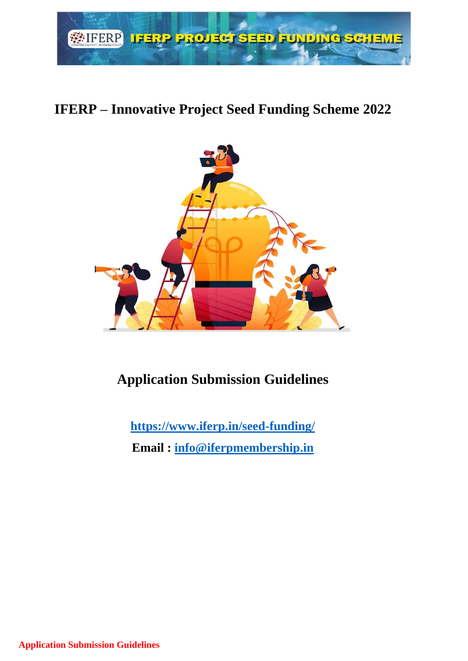

# **IFERP – Innovative Project Seed Funding Scheme 2022**



# **Application Submission Guidelines**

**<https://www.iferp.in/seed-funding/>**

**Email : [info@iferpmembership.in](mailto:info@iferpmembership.in)**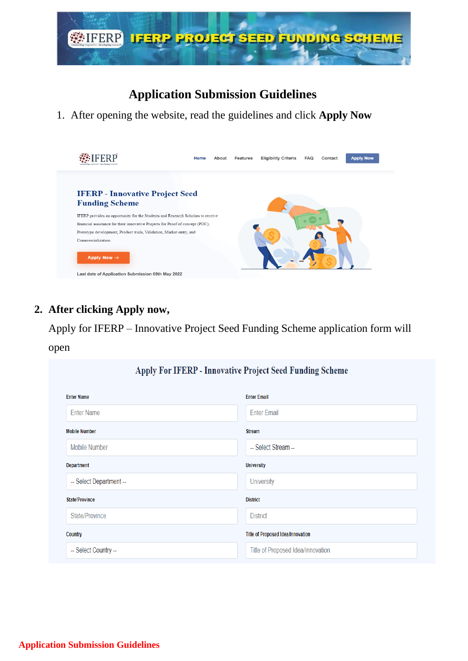

## **Application Submission Guidelines**

1. After opening the website, read the guidelines and click **Apply Now**



#### **2. After clicking Apply now,**

Apply for IFERP – Innovative Project Seed Funding Scheme application form will

#### open

| Apply For IFERP - Innovative Project Seed Funding Scheme |                                   |  |
|----------------------------------------------------------|-----------------------------------|--|
| <b>Enter Name</b>                                        | <b>Enter Email</b>                |  |
| <b>Enter Name</b>                                        | <b>Enter Email</b>                |  |
| <b>Mobile Number</b>                                     | <b>Stream</b>                     |  |
| <b>Mobile Number</b>                                     | -- Select Stream --               |  |
| <b>Department</b>                                        | <b>University</b>                 |  |
| -- Select Department --                                  | <b>University</b>                 |  |
| <b>State/Province</b>                                    | <b>District</b>                   |  |
| State/Province                                           | <b>District</b>                   |  |
| Country                                                  | Title of Proposed Idea/Innovation |  |
| -- Select Country --                                     | Title of Proposed Idea/Innovation |  |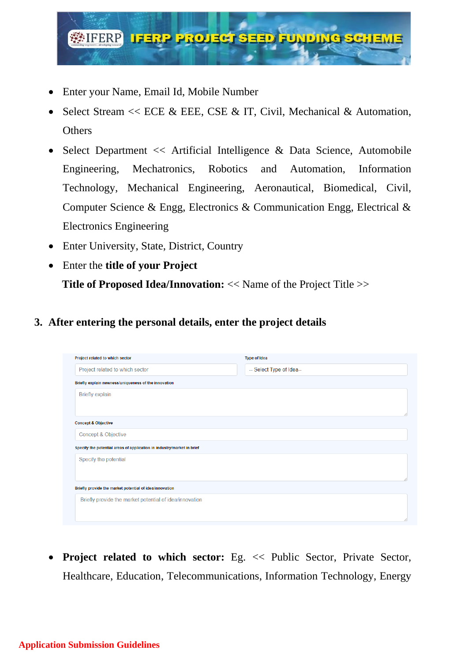

- Enter your Name, Email Id, Mobile Number
- Select Stream  $<<$  ECE & EEE, CSE & IT, Civil, Mechanical & Automation, **Others**
- Select Department  $\ll$  Artificial Intelligence & Data Science, Automobile Engineering, Mechatronics, Robotics and Automation, Information Technology, Mechanical Engineering, Aeronautical, Biomedical, Civil, Computer Science & Engg, Electronics & Communication Engg, Electrical & Electronics Engineering
- Enter University, State, District, Country
- Enter the **title of your Project Title of Proposed Idea/Innovation:** << Name of the Project Title >>

#### **3. After entering the personal details, enter the project details**

| Project related to which sector                                        | <b>Type of Idea</b>      |
|------------------------------------------------------------------------|--------------------------|
| Project related to which sector                                        | -- Select Type of Idea-- |
| Briefly explain newness/uniqueness of the innovation                   |                          |
| <b>Briefly explain</b>                                                 |                          |
|                                                                        |                          |
| <b>Concept &amp; Objective</b>                                         |                          |
| Concept & Objective                                                    |                          |
| Specify the potential areas of application in industry/market in brief |                          |
| Specify the potential                                                  |                          |
|                                                                        |                          |
| Briefly provide the market potential of idea/innovation                |                          |
| Briefly provide the market potential of idea/innovation                |                          |
|                                                                        |                          |
|                                                                        |                          |

• **Project related to which sector:** Eg. << Public Sector, Private Sector, Healthcare, Education, Telecommunications, Information Technology, Energy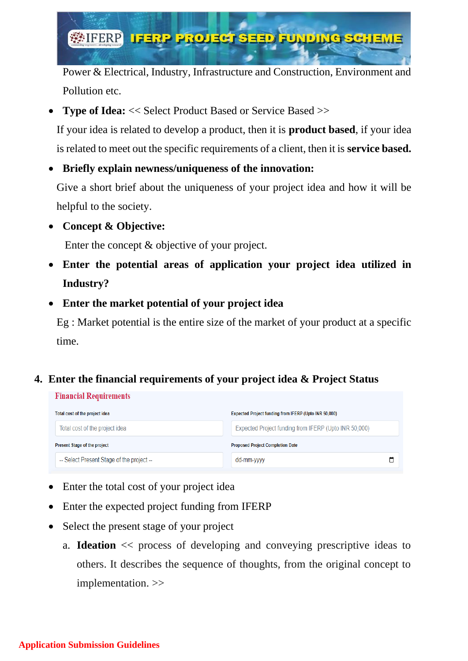

Power & Electrical, Industry, Infrastructure and Construction, Environment and Pollution etc.

• **Type of Idea:** << Select Product Based or Service Based >>

If your idea is related to develop a product, then it is **product based**, if your idea is related to meet out the specific requirements of a client, then it is **service based.**

• **Briefly explain newness/uniqueness of the innovation:**

Give a short brief about the uniqueness of your project idea and how it will be helpful to the society.

• **Concept & Objective:**

Enter the concept & objective of your project.

- **Enter the potential areas of application your project idea utilized in Industry?**
- **Enter the market potential of your project idea**

Eg : Market potential is the entire size of the market of your product at a specific time.

## **4. Enter the financial requirements of your project idea & Project Status**

| <b>Financial Requirements</b>             |                                                       |
|-------------------------------------------|-------------------------------------------------------|
| Total cost of the project idea            | Expected Project funding from IFERP (Upto INR 50,000) |
| Total cost of the project idea            | Expected Project funding from IFERP (Upto INR 50,000) |
| Present Stage of the project              | <b>Proposed Project Completion Date</b>               |
| -- Select Present Stage of the project -- | ٣<br>dd-mm-yyyy                                       |

- Enter the total cost of your project idea
- Enter the expected project funding from IFERP
- Select the present stage of your project
	- a. **Ideation** << process of developing and conveying prescriptive ideas to others. It describes the sequence of thoughts, from the original concept to implementation. >>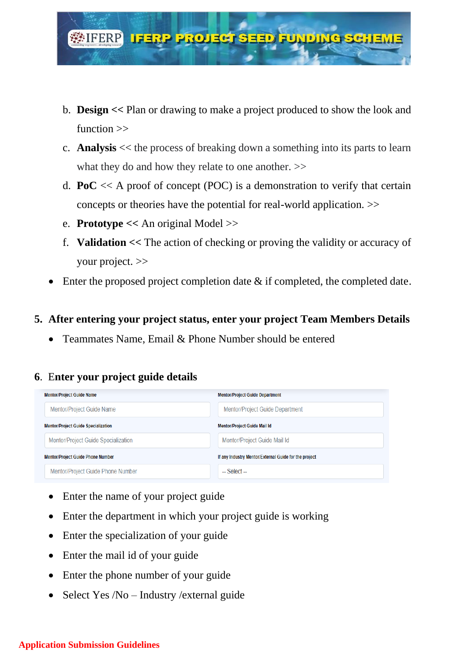

- b. **Design <<** Plan or drawing to make a project produced to show the look and function >>
- c. **Analysis** << the process of breaking down a something into its parts to learn what they do and how they relate to one another.  $\gg$
- d. **PoC** << A proof of concept (POC) is a demonstration to verify that certain concepts or theories have the potential for real-world application. >>
- e. **Prototype <<** An original Model >>
- f. **Validation <<** The action of checking or proving the validity or accuracy of your project. >>
- Enter the proposed project completion date & if completed, the completed date.

#### **5. After entering your project status, enter your project Team Members Details**

• Teammates Name, Email & Phone Number should be entered

#### **6**. E**nter your project guide details**

| <b>Mentor/Project Guide Name</b>           | <b>Mentor/Project Guide Department</b>                |
|--------------------------------------------|-------------------------------------------------------|
| Mentor/Project Guide Name                  | Mentor/Project Guide Department                       |
| <b>Mentor/Project Guide Specialization</b> | <b>Mentor/Project Guide Mail Id</b>                   |
| Mentor/Project Guide Specialization        | Mentor/Project Guide Mail Id                          |
| <b>Mentor/Project Guide Phone Number</b>   | If any Industry Mentor/External Guide for the project |
| Mentor/Project Guide Phone Number          | $-$ Select $-$                                        |

- Enter the name of your project guide
- Enter the department in which your project guide is working
- Enter the specialization of your guide
- Enter the mail id of your guide
- Enter the phone number of your guide
- Select Yes /No Industry /external guide

#### **Application Submission Guidelines**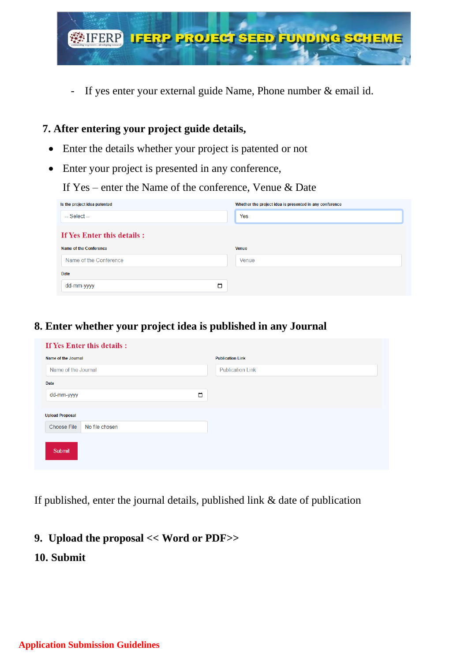

- If yes enter your external guide Name, Phone number & email id.

#### **7. After entering your project guide details,**

- Enter the details whether your project is patented or not
- Enter your project is presented in any conference,

If Yes – enter the Name of the conference, Venue & Date

| Is the project idea patented | Whether the project idea is presented in any conference |
|------------------------------|---------------------------------------------------------|
| $-$ Select $-$               | Yes                                                     |
| If Yes Enter this details :  |                                                         |
| Name of the Conference       | <b>Venue</b>                                            |
| Name of the Conference       | Venue                                                   |
| Date                         |                                                         |
| $\Box$<br>dd-mm-yyyy         |                                                         |

#### **8. Enter whether your project idea is published in any Journal**

| If Yes Enter this details :          |        |                         |
|--------------------------------------|--------|-------------------------|
| Name of the Journal                  |        | <b>Publication Link</b> |
| Name of the Journal                  |        | <b>Publication Link</b> |
| Date                                 |        |                         |
| dd-mm-yyyy                           | $\Box$ |                         |
|                                      |        |                         |
| <b>Upload Proposal</b>               |        |                         |
| <b>Choose File</b><br>No file chosen |        |                         |
|                                      |        |                         |
| Submit                               |        |                         |
|                                      |        |                         |

If published, enter the journal details, published link & date of publication

#### **9. Upload the proposal << Word or PDF>>**

**10. Submit**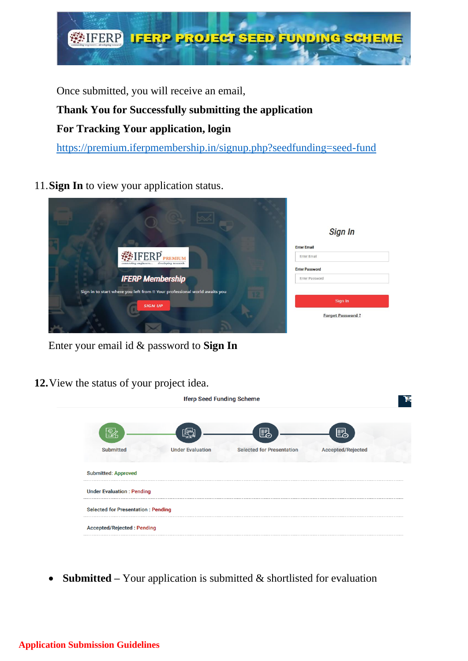

Once submitted, you will receive an email,

# **Thank You for Successfully submitting the application**

## **For Tracking Your application, login**

<https://premium.iferpmembership.in/signup.php?seedfunding=seed-fund>

11.**Sign In** to view your application status.

|                                                                            | <b>Sign In</b>          |
|----------------------------------------------------------------------------|-------------------------|
|                                                                            | <b>Enter Email</b>      |
| <b>WEIFERP</b> PREMIUM<br>developing research<br>connecting engineers      | <b>Enter Email</b>      |
|                                                                            | <b>Enter Password</b>   |
| <b>IFERP Membership</b>                                                    | Enter Password          |
| Sign in to start where you left from !! Your professional world awaits you |                         |
| <b>SIGN UP</b>                                                             | Sign In                 |
|                                                                            | <b>Forget Password?</b> |
|                                                                            |                         |

Enter your email id & password to **Sign In**

**12.**View the status of your project idea.

| <b>Iferp Seed Funding Scheme</b>          |                         |                                  |                          |
|-------------------------------------------|-------------------------|----------------------------------|--------------------------|
|                                           |                         | 勗                                | e.                       |
| <b>Submitted</b>                          | <b>Under Evaluation</b> | <b>Selected for Presentation</b> | <b>Accepted/Rejected</b> |
| <b>Submitted: Approved</b>                |                         |                                  |                          |
| <b>Under Evaluation: Pending</b>          |                         |                                  |                          |
| <b>Selected for Presentation: Pending</b> |                         |                                  |                          |
| <b>Accepted/Rejected: Pending</b>         |                         |                                  |                          |

• **Submitted** – Your application is submitted & shortlisted for evaluation